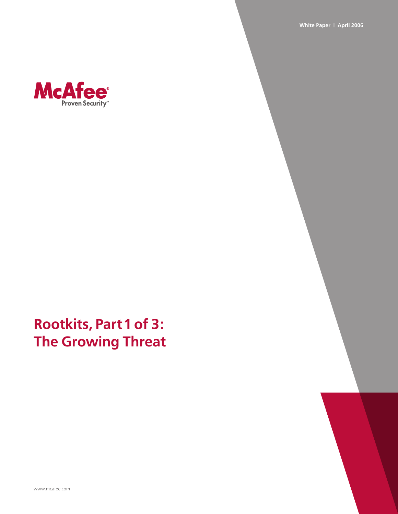**White Paper | April 2006**



# **Rootkits, Part 1 of 3: The Growing Threat**

www.mcafee.com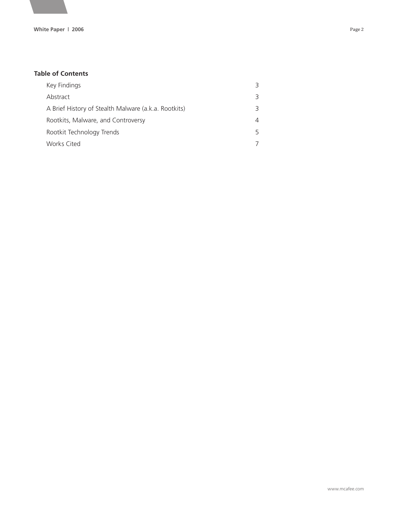#### **Table of Contents**

| Key Findings                                         | ₹        |
|------------------------------------------------------|----------|
| Abstract                                             | 3        |
| A Brief History of Stealth Malware (a.k.a. Rootkits) | 3        |
| Rootkits, Malware, and Controversy                   | $\Delta$ |
| Rootkit Technology Trends                            | 5        |
| Works Cited                                          | 7        |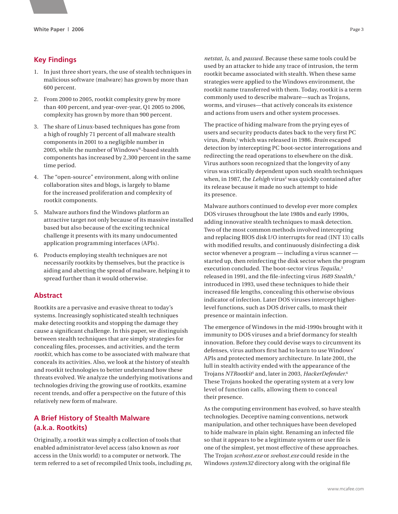## **Key Findings**

- 1. In just three short years, the use of stealth techniques in malicious software (malware) has grown by more than 600 percent.
- 2. From 2000 to 2005, rootkit complexity grew by more than 400 percent, and year-over-year, Q1 2005 to 2006, complexity has grown by more than 900 percent.
- 3. The share of Linux-based techniques has gone from a high of roughly 71 percent of all malware stealth components in 2001 to a negligible number in 2005, while the number of Windows®-based stealth components has increased by 2,300 percent in the same time period.
- 4. The "open-source" environment, along with online collaboration sites and blogs, is largely to blame for the increased proliferation and complexity of rootkit components.
- 5. Malware authors find the Windows platform an attractive target not only because of its massive installed based but also because of the exciting technical challenge it presents with its many undocumented application programming interfaces (APIs).
- 6. Products employing stealth techniques are not necessarily rootkits by themselves, but the practice is aiding and abetting the spread of malware, helping it to spread further than it would otherwise.

#### **Abstract**

Rootkits are a pervasive and evasive threat to today's systems. Increasingly sophisticated stealth techniques make detecting rootkits and stopping the damage they cause a significant challenge. In this paper, we distinguish between stealth techniques that are simply strategies for concealing files, processes, and activities, and the term *rootkit*, which has come to be associated with malware that conceals its activities. Also, we look at the history of stealth and rootkit technologies to better understand how these threats evolved. We analyze the underlying motivations and technologies driving the growing use of rootkits, examine recent trends, and offer a perspective on the future of this relatively new form of malware.

## **A Brief History of Stealth Malware (a.k.a. Rootkits)**

Originally, a rootkit was simply a collection of tools that enabled administrator-level access (also known as *root* access in the Unix world) to a computer or network. The term referred to a set of recompiled Unix tools, including *ps*,

*netstat*, *ls*, and *passwd*. Because these same tools could be used by an attacker to hide any trace of intrusion, the term rootkit became associated with stealth. When these same strategies were applied to the Windows environment, the rootkit name transferred with them. Today, rootkit is a term commonly used to describe malware—such as Trojans, worms, and viruses—that actively conceals its existence and actions from users and other system processes.

The practice of hiding malware from the prying eyes of users and security products dates back to the very first PC virus, *Brain*, 1 which was released in 1986. *Brain* escaped detection by intercepting PC boot-sector interrogations and redirecting the read operations to elsewhere on the disk. Virus authors soon recognized that the longevity of any virus was critically dependent upon such stealth techniques when, in 1987, the *Lehigh* virus<sup>2</sup> was quickly contained after its release because it made no such attempt to hide its presence.

Malware authors continued to develop ever more complex DOS viruses throughout the late 1980s and early 1990s, adding innovative stealth techniques to mask detection. Two of the most common methods involved intercepting and replacing BIOS disk I/O interrupts for read (INT 13) calls with modified results, and continuously disinfecting a disk sector whenever a program — including a virus scanner started up, then reinfecting the disk sector when the program execution concluded. The boot-sector virus *Tequila*, 3 released in 1991, and the file-infecting virus *1689 Stealth*, 4 introduced in 1993, used these techniques to hide their increased file lengths, concealing this otherwise obvious indicator of infection. Later DOS viruses intercept higherlevel functions, such as DOS driver calls, to mask their presence or maintain infection.

The emergence of Windows in the mid-1990s brought with it immunity to DOS viruses and a brief dormancy for stealth innovation. Before they could devise ways to circumvent its defenses, virus authors first had to learn to use Windows' APIs and protected memory architecture. In late 2001, the lull in stealth activity ended with the appearance of the Trojans *NTRootkit*<sup>5</sup> and, later in 2003, *HackerDefender*. 6 These Trojans hooked the operating system at a very low level of function calls, allowing them to conceal their presence.

As the computing environment has evolved, so have stealth technologies. Deceptive naming conventions, network manipulation, and other techniques have been developed to hide malware in plain sight. Renaming an infected file so that it appears to be a legitimate system or user file is one of the simplest, yet most effective of these approaches. The Trojan *scvhost.exe* or *svehost.exe* could reside in the Windows *system32* directory along with the original file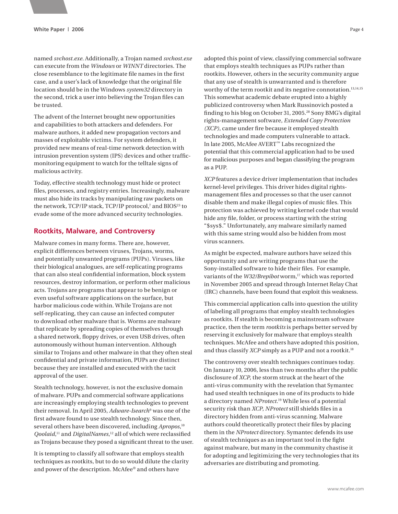named *svchost.exe*. Additionally, a Trojan named *svchost.exe* can execute from the *Windows* or *WINNT* directories. The close resemblance to the legitimate file names in the first case, and a user's lack of knowledge that the original file location should be in the Windows *system32* directory in the second, trick a user into believing the Trojan files can be trusted.

The advent of the Internet brought new opportunities and capabilities to both attackers and defenders. For malware authors, it added new propagation vectors and masses of exploitable victims. For system defenders, it provided new means of real-time network detection with intrusion prevention system (IPS) devices and other trafficmonitoring equipment to watch for the telltale signs of malicious activity.

Today, effective stealth technology must hide or protect files, processes, and registry entries. Increasingly, malware must also hide its tracks by manipulating raw packets on the network, TCP/IP stack, TCP/IP protocol,<sup>7</sup> and BIOS<sup>23</sup> to evade some of the more advanced security technologies.

#### **Rootkits, Malware, and Controversy**

Malware comes in many forms. There are, however, explicit differences between viruses, Trojans, worms, and potentially unwanted programs (PUPs). Viruses, like their biological analogues, are self-replicating programs that can also steal confidential information, block system resources, destroy information, or perform other malicious acts. Trojans are programs that appear to be benign or even useful software applications on the surface, but harbor malicious code within. While Trojans are not self-replicating, they can cause an infected computer to download other malware that is. Worms are malware that replicate by spreading copies of themselves through a shared network, floppy drives, or even USB drives, often autonomously without human intervention. Although similar to Trojans and other malware in that they often steal confidential and private information, PUPs are distinct because they are installed and executed with the tacit approval of the user.

Stealth technology, however, is not the exclusive domain of malware. PUPs and commercial software applications are increasingly employing stealth technologies to prevent their removal. In April 2005, *Adware-Isearch*<sup>9</sup> was one of the first adware found to use stealth technology. Since then, several others have been discovered, including *Apropos*, 10 Qoolaid,<sup>11</sup> and *DigitalNames*,<sup>12</sup> all of which were reclassified as Trojans because they posed a significant threat to the user.

It is tempting to classify all software that employs stealth techniques as rootkits, but to do so would dilute the clarity and power of the description. McAfee® and others have

adopted this point of view, classifying commercial software that employs stealth techniques as PUPs rather than rootkits. However, others in the security community argue that any use of stealth is unwarranted and is therefore worthy of the term rootkit and its negative connotation.<sup>13,14,15</sup> This somewhat academic debate erupted into a highly publicized controversy when Mark Russinovich posted a finding to his blog on October 31, 2005.28 Sony BMG's digital rights-management software, *Extended Copy Protection (XCP)*, came under fire because it employed stealth technologies and made computers vulnerable to attack. In late 2005, McAfee AVERT™ Labs recognized the potential that this commercial application had to be used for malicious purposes and began classifying the program as a PUP.

*XCP* features a device driver implementation that includes kernel-level privileges. This driver hides digital rightsmanagement files and processes so that the user cannot disable them and make illegal copies of music files. This protection was achieved by writing kernel code that would hide any file, folder, or process starting with the string "\$sys\$." Unfortunately, any malware similarly named with this same string would also be hidden from most virus scanners.

As might be expected, malware authors have seized this opportunity and are writing programs that use the Sony-installed software to hide their files. For example, variants of the *W32/Brepibot* worm,<sup>17</sup> which was reported in November 2005 and spread through Internet Relay Chat (IRC) channels, have been found that exploit this weakness.

This commercial application calls into question the utility of labeling all programs that employ stealth technologies as rootkits. If stealth is becoming a mainstream software practice, then the term *rootkits* is perhaps better served by reserving it exclusively for malware that employs stealth techniques. McAfee and others have adopted this position, and thus classify *XCP* simply as a PUP and not a rootkit.<sup>18</sup>

The controversy over stealth techniques continues today. On January 10, 2006, less than two months after the public disclosure of *XCP*, the storm struck at the heart of the anti-virus community with the revelation that Symantec had used stealth techniques in one of its products to hide a directory named *NProtect*. 19 While less of a potential security risk than *XCP*, *NProtect* still shields files in a directory hidden from anti-virus scanning. Malware authors could theoretically protect their files by placing them in the *NProtect* directory. Symantec defends its use of stealth techniques as an important tool in the fight against malware, but many in the community chastise it for adopting and legitimizing the very technologies that its adversaries are distributing and promoting.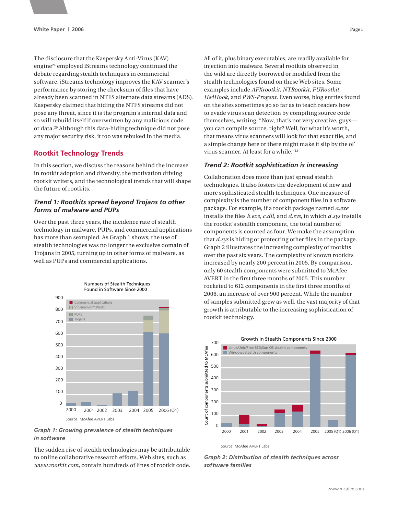The disclosure that the Kaspersky Anti-Virus (KAV) engine<sup>24</sup> employed iStreams technology continued the debate regarding stealth techniques in commercial software. iStreams technology improves the KAV scanner's performance by storing the checksum of files that have already been scanned in NTFS alternate data streams (ADS). Kaspersky claimed that hiding the NTFS streams did not pose any threat, since it is the program's internal data and so will rebuild itself if overwritten by any malicious code or data.20 Although this data-hiding technique did not pose any major security risk, it too was rebuked in the media.

## **Rootkit Technology Trends**

In this section, we discuss the reasons behind the increase in rootkit adoption and diversity, the motivation driving rootkit writers, and the technological trends that will shape the future of rootkits.

#### *Trend 1: Rootkits spread beyond Trojans to other forms of malware and PUPs*

Over the past three years, the incidence rate of stealth technology in malware, PUPs, and commercial applications has more than sextupled. As Graph 1 shows, the use of stealth technologies was no longer the exclusive domain of Trojans in 2005, turning up in other forms of malware, as well as PUPs and commercial applications.



*Graph 1: Growing prevalence of stealth techniques in software*

The sudden rise of stealth technologies may be attributable to online collaborative research efforts. Web sites, such as *www.rootkit.com,* contain hundreds of lines of rootkit code.

All of it, plus binary executables, are readily available for injection into malware. Several rootkits observed in the wild are directly borrowed or modified from the stealth technologies found on these Web sites. Some examples include *AFXrootkit*, *NTRootkit*, *FURootkit*, *He4Hook*, and *PWS-Progent*. Even worse, blog entries found on the sites sometimes go so far as to teach readers how to evade virus scan detection by compiling source code themselves, writing, "Now, that's not very creative, guys you can compile source, right? Well, for what it's worth, that means virus scanners will look for that exact file, and a simple change here or there might make it slip by the ol' virus scanner. At least for a while."13

#### *Trend 2: Rootkit sophistication is increasing*

Collaboration does more than just spread stealth technologies. It also fosters the development of new and more sophisticated stealth techniques. One measure of complexity is the number of component files in a software package. For example, if a rootkit package named *a.exe*  installs the files *b.exe*, *c.dll*, and *d.sys*, in which *d.sys* installs the rootkit's stealth component, the total number of components is counted as four. We make the assumption that *d.sys* is hiding or protecting other files in the package. Graph 2 illustrates the increasing complexity of rootkits over the past six years. The complexity of known rootkits increased by nearly 200 percent in 2005. By comparison, only 60 stealth components were submitted to McAfee AVERT in the first three months of 2005. This number rocketed to 612 components in the first three months of 2006, an increase of over 900 percent. While the number of samples submitted grew as well, the vast majority of that growth is attributable to the increasing sophistication of rootkit technology.



Source: McAfee AVERT Labs

*Graph 2: Distribution of stealth techniques across software families*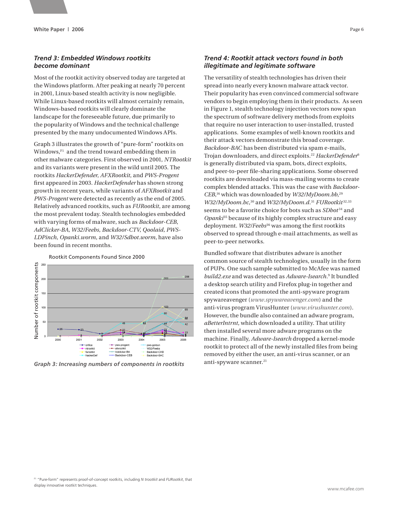## *Trend 3: Embedded Windows rootkits become dominant*

Most of the rootkit activity observed today are targeted at the Windows platform. After peaking at nearly 70 percent in 2001, Linux-based stealth activity is now negligible. While Linux-based rootkits will almost certainly remain, Windows-based rootkits will clearly dominate the landscape for the foreseeable future, due primarily to the popularity of Windows and the technical challenge presented by the many undocumented Windows APIs.

Graph 3 illustrates the growth of "pure-form" rootkits on Windows, $F_1$  and the trend toward embedding them in other malware categories. First observed in 2001, *NTRootkit* and its variants were present in the wild until 2005. The rootkits *HackerDefender*, *AFXRootkit*, and *PWS-Progent*  first appeared in 2003. *HackerDefender* has shown strong growth in recent years, while variants of *AFXRootkit* and *PWS-Progent* were detected as recently as the end of 2005. Relatively advanced rootkits, such as *FURootkit*, are among the most prevalent today. Stealth technologies embedded with varying forms of malware, such as *Backdoor-CEB*, *AdClicker-BA*, *W32/Feebs*, *Backdoor-CTV*, *Qoolaid, PWS-LDPinch*, *Opanki.worm*, and *W32/Sdbot.worm*, have also been found in recent months.



Rootkit Components Found Since 2000

*Graph 3: Increasing numbers of components in rootkits*

### *Trend 4: Rootkit attack vectors found in both illegitimate and legitimate software*

The versatility of stealth technologies has driven their spread into nearly every known malware attack vector. Their popularity has even convinced commercial software vendors to begin employing them in their products. As seen in Figure 1, stealth technology injection vectors now span the spectrum of software delivery methods from exploits that require no user interaction to user-installed, trusted applications. Some examples of well-known rootkits and their attack vectors demonstrate this broad coverage. *Backdoor-BAC* has been distributed via spam e-mails, Trojan downloaders, and direct exploits.22 *HackerDefender*<sup>6</sup> is generally distributed via spam, bots, direct exploits, and peer-to-peer file-sharing applications. Some observed rootkits are downloaded via mass-mailing worms to create complex blended attacks. This was the case with *Backdoor-CEB*, 16 which was downloaded by *W32/MyDoom.bb*, 29 *W32/MyDoom.bc*,<sup>30</sup> and *W32/MyDoom.d.*<sup>31</sup> *FURootkit*<sup>32,3</sup> seems to be a favorite choice for bots such as *SDbot*<sup>34</sup> and *Opanki*<sup>35</sup> because of its highly complex structure and easy deployment. *W32/Feebs*<sup>36</sup> was among the first rootkits observed to spread through e-mail attachments, as well as peer-to-peer networks.

Bundled software that distributes adware is another common source of stealth technologies, usually in the form of PUPs. One such sample submitted to McAfee was named *build2.exe* and was detected as *Adware-Isearch*. 9 It bundled a desktop search utility and Firefox plug-in together and created icons that promoted the anti-spyware program spywareavenger (*www.spywareavenger.com*) and the anti-virus program VirusHunter (*www.virushunter.com*). However, the bundle also contained an adware program, *aBetterIntrnt*, which downloaded a utility. That utility then installed several more adware programs on the machine. Finally, *Adware-Isearch* dropped a kernel-mode rootkit to protect all of the newly installed files from being removed by either the user, an anti-virus scanner, or an anti-spyware scanner.<sup>21</sup>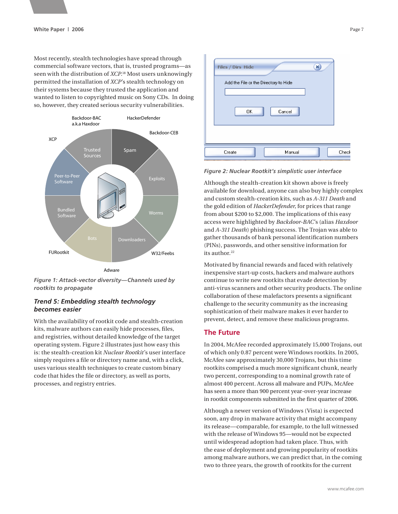Most recently, stealth technologies have spread through commercial software vectors, that is, trusted programs—as seen with the distribution of *XCP*. 18 Most users unknowingly permitted the installation of *XCP*'s stealth technology on their systems because they trusted the application and wanted to listen to copyrighted music on Sony CDs. In doing so, however, they created serious security vulnerabilities.



Adware

*Figure 1: Attack-vector diversity—Channels used by rootkits to propagate*

#### *Trend 5: Embedding stealth technology becomes easier*

With the availability of rootkit code and stealth-creation kits, malware authors can easily hide processes, files, and registries, without detailed knowledge of the target operating system. Figure 2 illustrates just how easy this is: the stealth-creation kit *Nuclear Rootkit*'s user interface simply requires a file or directory name and, with a click, uses various stealth techniques to create custom binary code that hides the file or directory, as well as ports, processes, and registry entries.

| ×<br>Files / Dirs Hide<br>Add the File or the Directory to Hide<br>0K<br>Cancel |      |
|---------------------------------------------------------------------------------|------|
| Manual<br>Create                                                                | Chec |

*Figure 2: Nuclear Rootkit's simplistic user interface*

Although the stealth-creation kit shown above is freely available for download, anyone can also buy highly complex and custom stealth-creation kits, such as *A-311 Death* and the gold edition of *HackerDefender*, for prices that range from about \$200 to \$2,000. The implications of this easy access were highlighted by *Backdoor-BAC*'s (alias *Haxdoor*  and *A-311 Death*) phishing success. The Trojan was able to gather thousands of bank personal identification numbers (PINs), passwords, and other sensitive information for its author. $22$ 

Motivated by financial rewards and faced with relatively inexpensive start-up costs, hackers and malware authors continue to write new rootkits that evade detection by anti-virus scanners and other security products. The online collaboration of these malefactors presents a significant challenge to the security community as the increasing sophistication of their malware makes it ever harder to prevent, detect, and remove these malicious programs.

## **The Future**

In 2004, McAfee recorded approximately 15,000 Trojans, out of which only 0.87 percent were Windows rootkits. In 2005, McAfee saw approximately 30,000 Trojans, but this time rootkits comprised a much more significant chunk, nearly two percent, corresponding to a nominal growth rate of almost 400 percent. Across all malware and PUPs, McAfee has seen a more than 900 percent year-over-year increase in rootkit components submitted in the first quarter of 2006.

Although a newer version of Windows (Vista) is expected soon, any drop in malware activity that might accompany its release—comparable, for example, to the lull witnessed with the release of Windows 95—would not be expected until widespread adoption had taken place. Thus, with the ease of deployment and growing popularity of rootkits among malware authors, we can predict that, in the coming two to three years, the growth of rootkits for the current